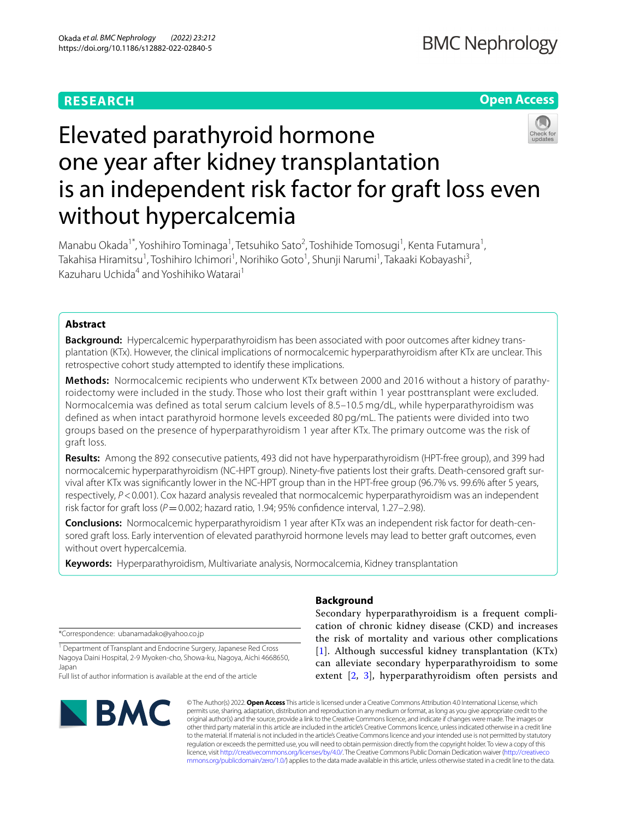# **RESEARCH**

# **Open Access**



# Elevated parathyroid hormone one year after kidney transplantation is an independent risk factor for graft loss even without hypercalcemia

Manabu Okada<sup>1\*</sup>, Yoshihiro Tominaga<sup>1</sup>, Tetsuhiko Sato<sup>2</sup>, Toshihide Tomosugi<sup>1</sup>, Kenta Futamura<sup>1</sup>, Takahisa Hiramitsu<sup>1</sup>, Toshihiro Ichimori<sup>1</sup>, Norihiko Goto<sup>1</sup>, Shunji Narumi<sup>1</sup>, Takaaki Kobayashi<sup>3</sup>, Kazuharu Uchida<sup>4</sup> and Yoshihiko Watarai<sup>1</sup>

# **Abstract**

**Background:** Hypercalcemic hyperparathyroidism has been associated with poor outcomes after kidney transplantation (KTx). However, the clinical implications of normocalcemic hyperparathyroidism after KTx are unclear. This retrospective cohort study attempted to identify these implications.

**Methods:** Normocalcemic recipients who underwent KTx between 2000 and 2016 without a history of parathyroidectomy were included in the study. Those who lost their graft within 1 year posttransplant were excluded. Normocalcemia was defined as total serum calcium levels of 8.5–10.5 mg/dL, while hyperparathyroidism was defined as when intact parathyroid hormone levels exceeded 80 pg/mL. The patients were divided into two groups based on the presence of hyperparathyroidism 1 year after KTx. The primary outcome was the risk of graft loss.

**Results:** Among the 892 consecutive patients, 493 did not have hyperparathyroidism (HPT-free group), and 399 had normocalcemic hyperparathyroidism (NC-HPT group). Ninety-fve patients lost their grafts. Death-censored graft survival after KTx was signifcantly lower in the NC-HPT group than in the HPT-free group (96.7% vs. 99.6% after 5 years, respectively,  $P < 0.001$ ). Cox hazard analysis revealed that normocalcemic hyperparathyroidism was an independent risk factor for graft loss ( $P$  = 0.002; hazard ratio, 1.94; 95% confidence interval, 1.27–2.98).

**Conclusions:** Normocalcemic hyperparathyroidism 1 year after KTx was an independent risk factor for death-censored graft loss. Early intervention of elevated parathyroid hormone levels may lead to better graft outcomes, even without overt hypercalcemia.

**Keywords:** Hyperparathyroidism, Multivariate analysis, Normocalcemia, Kidney transplantation

\*Correspondence: ubanamadako@yahoo.co.jp

<sup>1</sup> Department of Transplant and Endocrine Surgery, Japanese Red Cross Nagoya Daini Hospital, 2-9 Myoken-cho, Showa-ku, Nagoya, Aichi 4668650, Japan

Full list of author information is available at the end of the article



# **Background**

Secondary hyperparathyroidism is a frequent complication of chronic kidney disease (CKD) and increases the risk of mortality and various other complications [[1](#page-7-0)]. Although successful kidney transplantation (KTx) can alleviate secondary hyperparathyroidism to some extent [[2,](#page-7-1) [3](#page-7-2)], hyperparathyroidism often persists and

© The Author(s) 2022. **Open Access** This article is licensed under a Creative Commons Attribution 4.0 International License, which permits use, sharing, adaptation, distribution and reproduction in any medium or format, as long as you give appropriate credit to the original author(s) and the source, provide a link to the Creative Commons licence, and indicate if changes were made. The images or other third party material in this article are included in the article's Creative Commons licence, unless indicated otherwise in a credit line to the material. If material is not included in the article's Creative Commons licence and your intended use is not permitted by statutory regulation or exceeds the permitted use, you will need to obtain permission directly from the copyright holder. To view a copy of this licence, visit [http://creativecommons.org/licenses/by/4.0/.](http://creativecommons.org/licenses/by/4.0/) The Creative Commons Public Domain Dedication waiver ([http://creativeco](http://creativecommons.org/publicdomain/zero/1.0/) [mmons.org/publicdomain/zero/1.0/](http://creativecommons.org/publicdomain/zero/1.0/)) applies to the data made available in this article, unless otherwise stated in a credit line to the data.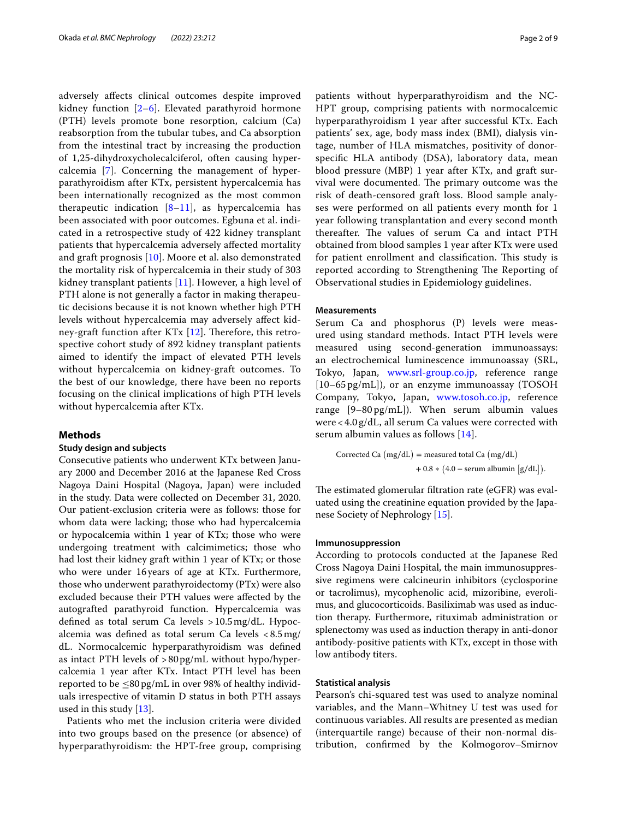adversely afects clinical outcomes despite improved kidney function  $[2-6]$  $[2-6]$ . Elevated parathyroid hormone (PTH) levels promote bone resorption, calcium (Ca) reabsorption from the tubular tubes, and Ca absorption from the intestinal tract by increasing the production of 1,25-dihydroxycholecalciferol, often causing hypercalcemia [[7\]](#page-7-4). Concerning the management of hyperparathyroidism after KTx, persistent hypercalcemia has been internationally recognized as the most common therapeutic indication [\[8](#page-7-5)[–11](#page-7-6)], as hypercalcemia has been associated with poor outcomes. Egbuna et al. indicated in a retrospective study of 422 kidney transplant patients that hypercalcemia adversely afected mortality and graft prognosis [\[10](#page-7-7)]. Moore et al. also demonstrated the mortality risk of hypercalcemia in their study of 303 kidney transplant patients [[11\]](#page-7-6). However, a high level of PTH alone is not generally a factor in making therapeutic decisions because it is not known whether high PTH levels without hypercalcemia may adversely afect kidney-graft function after KTx  $[12]$  $[12]$ . Therefore, this retrospective cohort study of 892 kidney transplant patients aimed to identify the impact of elevated PTH levels without hypercalcemia on kidney-graft outcomes. To the best of our knowledge, there have been no reports focusing on the clinical implications of high PTH levels without hypercalcemia after KTx.

# **Methods**

# **Study design and subjects**

Consecutive patients who underwent KTx between January 2000 and December 2016 at the Japanese Red Cross Nagoya Daini Hospital (Nagoya, Japan) were included in the study. Data were collected on December 31, 2020. Our patient-exclusion criteria were as follows: those for whom data were lacking; those who had hypercalcemia or hypocalcemia within 1 year of KTx; those who were undergoing treatment with calcimimetics; those who had lost their kidney graft within 1 year of KTx; or those who were under 16years of age at KTx. Furthermore, those who underwent parathyroidectomy (PTx) were also excluded because their PTH values were afected by the autografted parathyroid function. Hypercalcemia was defned as total serum Ca levels >10.5mg/dL. Hypocalcemia was defned as total serum Ca levels <8.5mg/ dL. Normocalcemic hyperparathyroidism was defned as intact PTH levels of >80pg/mL without hypo/hypercalcemia 1 year after KTx. Intact PTH level has been reported to be  $\leq 80 \,\text{pg/mL}$  in over 98% of healthy individuals irrespective of vitamin D status in both PTH assays used in this study [\[13](#page-7-9)].

Patients who met the inclusion criteria were divided into two groups based on the presence (or absence) of hyperparathyroidism: the HPT-free group, comprising patients without hyperparathyroidism and the NC-HPT group, comprising patients with normocalcemic hyperparathyroidism 1 year after successful KTx. Each patients' sex, age, body mass index (BMI), dialysis vintage, number of HLA mismatches, positivity of donorspecifc HLA antibody (DSA), laboratory data, mean blood pressure (MBP) 1 year after KTx, and graft survival were documented. The primary outcome was the risk of death-censored graft loss. Blood sample analyses were performed on all patients every month for 1 year following transplantation and every second month thereafter. The values of serum Ca and intact PTH obtained from blood samples 1 year after KTx were used for patient enrollment and classification. This study is reported according to Strengthening The Reporting of Observational studies in Epidemiology guidelines.

## **Measurements**

Serum Ca and phosphorus (P) levels were measured using standard methods. Intact PTH levels were measured using second-generation immunoassays: an electrochemical luminescence immunoassay (SRL, Tokyo, Japan, [www.srl-group.co.jp,](http://www.srl-group.co.jp) reference range [10–65 pg/mL]), or an enzyme immunoassay (TOSOH Company, Tokyo, Japan, [www.tosoh.co.jp,](http://www.tosoh.co.jp) reference range [9–80 pg/mL]). When serum albumin values were < 4.0 g/dL, all serum Ca values were corrected with serum albumin values as follows [[14](#page-7-10)].

Corrected Ca  $(mg/dL)$  = measured total Ca  $(mg/dL)$  $+ 0.8 * (4.0 - \text{serum albumin} [g/dL]).$ 

The estimated glomerular filtration rate (eGFR) was evaluated using the creatinine equation provided by the Japanese Society of Nephrology [[15\]](#page-7-11).

# **Immunosuppression**

According to protocols conducted at the Japanese Red Cross Nagoya Daini Hospital, the main immunosuppressive regimens were calcineurin inhibitors (cyclosporine or tacrolimus), mycophenolic acid, mizoribine, everolimus, and glucocorticoids. Basiliximab was used as induction therapy. Furthermore, rituximab administration or splenectomy was used as induction therapy in anti-donor antibody-positive patients with KTx, except in those with low antibody titers.

## **Statistical analysis**

Pearson's chi-squared test was used to analyze nominal variables, and the Mann–Whitney U test was used for continuous variables. All results are presented as median (interquartile range) because of their non-normal distribution, confrmed by the Kolmogorov–Smirnov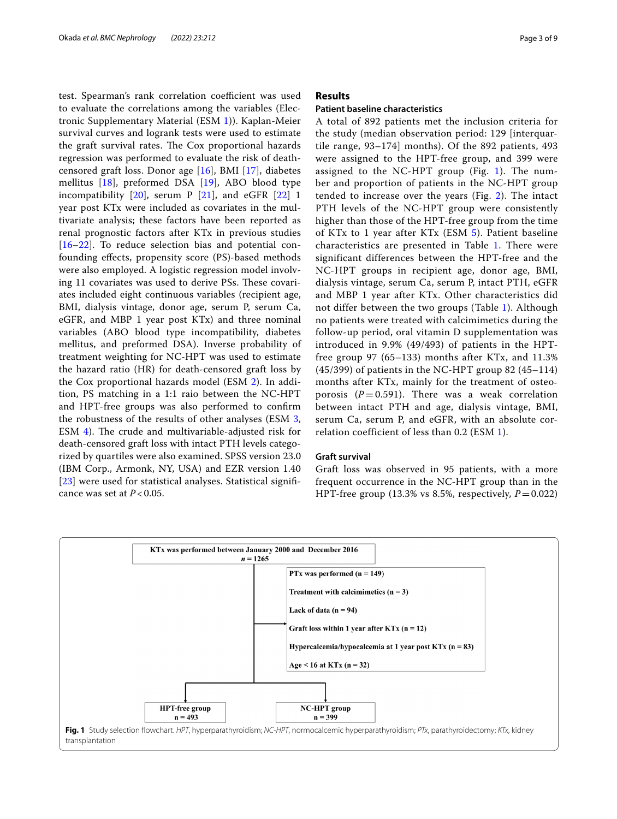test. Spearman's rank correlation coefficient was used to evaluate the correlations among the variables (Electronic Supplementary Material (ESM [1\)](#page-7-12)). Kaplan-Meier survival curves and logrank tests were used to estimate the graft survival rates. The Cox proportional hazards regression was performed to evaluate the risk of deathcensored graft loss. Donor age [\[16](#page-7-13)], BMI [\[17](#page-7-14)], diabetes mellitus [[18\]](#page-7-15), preformed DSA [\[19](#page-7-16)], ABO blood type incompatibility  $[20]$  $[20]$ , serum P  $[21]$  $[21]$ , and eGFR  $[22]$  $[22]$  1 year post KTx were included as covariates in the multivariate analysis; these factors have been reported as renal prognostic factors after KTx in previous studies [[16–](#page-7-13)[22](#page-8-0)]. To reduce selection bias and potential confounding efects, propensity score (PS)-based methods were also employed. A logistic regression model involving 11 covariates was used to derive PSs. These covariates included eight continuous variables (recipient age, BMI, dialysis vintage, donor age, serum P, serum Ca, eGFR, and MBP 1 year post KTx) and three nominal variables (ABO blood type incompatibility, diabetes mellitus, and preformed DSA). Inverse probability of treatment weighting for NC-HPT was used to estimate the hazard ratio (HR) for death-censored graft loss by the Cox proportional hazards model (ESM [2](#page-7-19)). In addition, PS matching in a 1:1 raio between the NC-HPT and HPT-free groups was also performed to confrm the robustness of the results of other analyses (ESM [3](#page-7-20), ESM  $4$ ). The crude and multivariable-adjusted risk for death-censored graft loss with intact PTH levels categorized by quartiles were also examined. SPSS version 23.0 (IBM Corp., Armonk, NY, USA) and EZR version 1.40 [[23\]](#page-8-1) were used for statistical analyses. Statistical significance was set at *P* < 0.05.

# **Results**

## **Patient baseline characteristics**

A total of 892 patients met the inclusion criteria for the study (median observation period: 129 [interquartile range, 93–174] months). Of the 892 patients, 493 were assigned to the HPT-free group, and 399 were assigned to the NC-HPT group (Fig. [1\)](#page-2-0). The number and proportion of patients in the NC-HPT group tended to increase over the years (Fig. [2\)](#page-3-0). The intact PTH levels of the NC-HPT group were consistently higher than those of the HPT-free group from the time of KTx to 1 year after KTx (ESM [5](#page-7-22)). Patient baseline characteristics are presented in Table [1.](#page-4-0) There were significant differences between the HPT-free and the NC-HPT groups in recipient age, donor age, BMI, dialysis vintage, serum Ca, serum P, intact PTH, eGFR and MBP 1 year after KTx. Other characteristics did not differ between the two groups (Table [1\)](#page-4-0). Although no patients were treated with calcimimetics during the follow-up period, oral vitamin D supplementation was introduced in 9.9% (49/493) of patients in the HPTfree group 97 (65–133) months after KTx, and 11.3% (45/399) of patients in the NC-HPT group 82 (45–114) months after KTx, mainly for the treatment of osteoporosis  $(P=0.591)$ . There was a weak correlation between intact PTH and age, dialysis vintage, BMI, serum Ca, serum P, and eGFR, with an absolute correlation coefficient of less than 0.2 (ESM [1](#page-7-12)).

# **Graft survival**

Graft loss was observed in 95 patients, with a more frequent occurrence in the NC-HPT group than in the HPT-free group (13.3% vs 8.5%, respectively,  $P=0.022$ )

<span id="page-2-0"></span>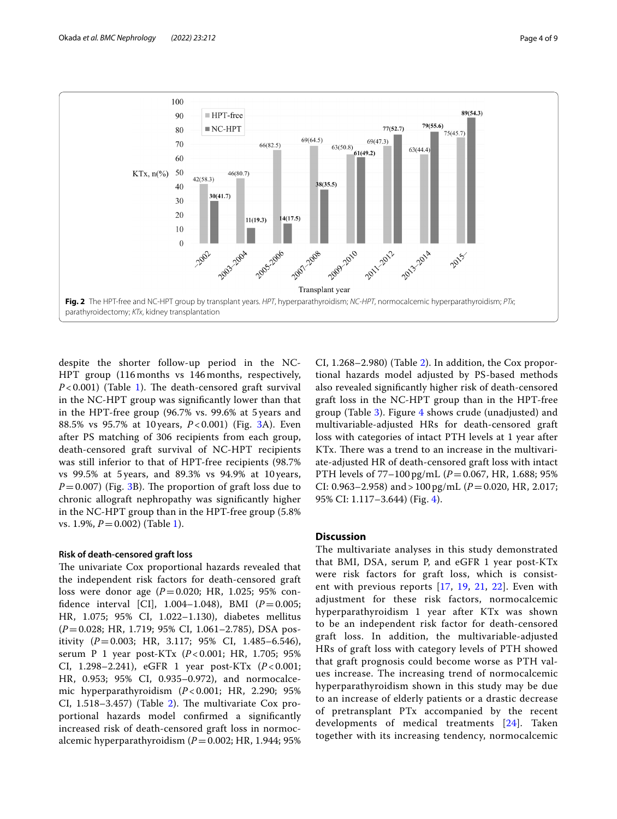

<span id="page-3-0"></span>despite the shorter follow-up period in the NC-HPT group (116 months vs 146 months, respectively,  $P < 0.001$ ) (Table [1\)](#page-4-0). The death-censored graft survival in the NC-HPT group was signifcantly lower than that in the HPT-free group (96.7% vs. 99.6% at 5 years and 88.5% vs 95.7% at 10 years, *P* < 0.001) (Fig. [3](#page-5-0)A). Even after PS matching of 306 recipients from each group, death-censored graft survival of NC-HPT recipients was still inferior to that of HPT-free recipients (98.7% vs 99.5% at 5 years, and 89.3% vs 94.9% at 10 years,  $P=0.007$ ) (Fig. [3](#page-5-0)B). The proportion of graft loss due to chronic allograft nephropathy was signifcantly higher in the NC-HPT group than in the HPT-free group (5.8% vs. [1](#page-4-0).9%,  $P = 0.002$ ) (Table 1).

# **Risk of death‑censored graft loss**

The univariate Cox proportional hazards revealed that the independent risk factors for death-censored graft loss were donor age (*P*=0.020; HR, 1.025; 95% confidence interval [CI],  $1.004-1.048$ ), BMI ( $P=0.005$ ; HR, 1.075; 95% CI, 1.022–1.130), diabetes mellitus (*P*=0.028; HR, 1.719; 95% CI, 1.061–2.785), DSA positivity (*P*=0.003; HR, 3.117; 95% CI, 1.485–6.546), serum P 1 year post-KTx (*P* < 0.001; HR, 1.705; 95% CI, 1.298–2.241), eGFR 1 year post-KTx (*P* < 0.001; HR, 0.953; 95% CI, 0.935–0.972), and normocalcemic hyperparathyroidism (*P* < 0.001; HR, 2.290; 95% CI,  $1.518-3.457$ ) (Table [2](#page-5-1)). The multivariate Cox proportional hazards model confrmed a signifcantly increased risk of death-censored graft loss in normocalcemic hyperparathyroidism  $(P=0.002; HR, 1.944; 95%$ 

CI, 1.268–2.980) (Table [2\)](#page-5-1). In addition, the Cox proportional hazards model adjusted by PS-based methods also revealed signifcantly higher risk of death-censored graft loss in the NC-HPT group than in the HPT-free group (Table [3](#page-6-0)). Figure [4](#page-6-1) shows crude (unadjusted) and multivariable-adjusted HRs for death-censored graft loss with categories of intact PTH levels at 1 year after KTx. There was a trend to an increase in the multivariate-adjusted HR of death-censored graft loss with intact PTH levels of 77–100 pg/mL (*P*=0.067, HR, 1.688; 95% CI: 0.963–2.958) and > 100 pg/mL ( $P = 0.020$ , HR, 2.017; 95% CI: 1.117–3.644) (Fig. [4\)](#page-6-1).

# **Discussion**

The multivariate analyses in this study demonstrated that BMI, DSA, serum P, and eGFR 1 year post-KTx were risk factors for graft loss, which is consistent with previous reports [[17](#page-7-14), [19,](#page-7-16) [21,](#page-7-18) [22](#page-8-0)]. Even with adjustment for these risk factors, normocalcemic hyperparathyroidism 1 year after KTx was shown to be an independent risk factor for death-censored graft loss. In addition, the multivariable-adjusted HRs of graft loss with category levels of PTH showed that graft prognosis could become worse as PTH values increase. The increasing trend of normocalcemic hyperparathyroidism shown in this study may be due to an increase of elderly patients or a drastic decrease of pretransplant PTx accompanied by the recent developments of medical treatments [[24\]](#page-8-2). Taken together with its increasing tendency, normocalcemic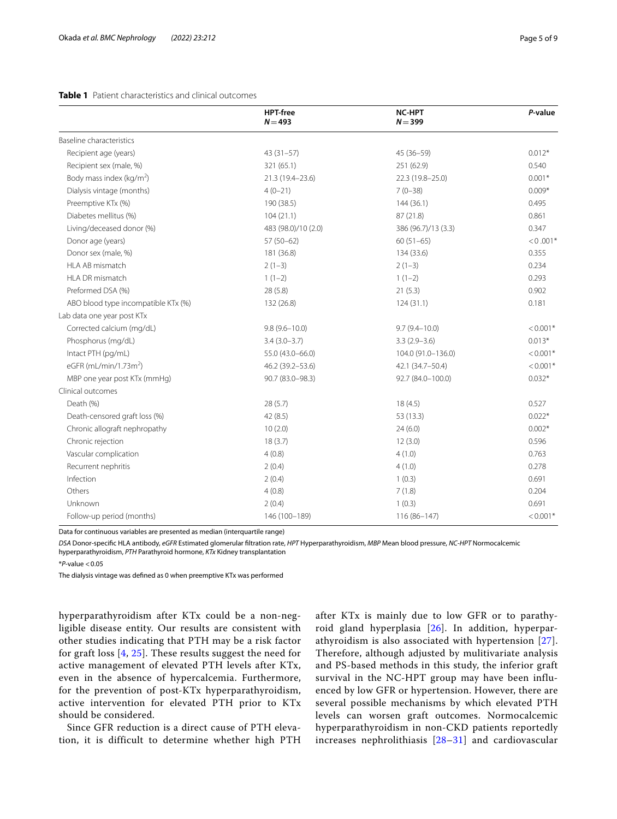# <span id="page-4-0"></span>**Table 1** Patient characteristics and clinical outcomes

|                                     | <b>HPT-free</b><br>$N = 493$ | <b>NC-HPT</b><br>$N = 399$ | P-value    |
|-------------------------------------|------------------------------|----------------------------|------------|
| Baseline characteristics            |                              |                            |            |
| Recipient age (years)               | $43(31-57)$                  | 45 (36-59)                 | $0.012*$   |
| Recipient sex (male, %)             | 321 (65.1)                   | 251 (62.9)                 | 0.540      |
| Body mass index ( $kg/m2$ )         | 21.3 (19.4-23.6)             | 22.3 (19.8-25.0)           | $0.001*$   |
| Dialysis vintage (months)           | $4(0-21)$                    | $7(0-38)$                  | $0.009*$   |
| Preemptive KTx (%)                  | 190 (38.5)                   | 144(36.1)                  | 0.495      |
| Diabetes mellitus (%)               | 104(21.1)                    | 87 (21.8)                  | 0.861      |
| Living/deceased donor (%)           | 483 (98.0)/10 (2.0)          | 386 (96.7)/13 (3.3)        | 0.347      |
| Donor age (years)                   | $57(50-62)$                  | $60(51-65)$                | $< 0.001*$ |
| Donor sex (male, %)                 | 181 (36.8)                   | 134 (33.6)                 | 0.355      |
| HLA AB mismatch                     | $2(1-3)$                     | $2(1-3)$                   | 0.234      |
| HLA DR mismatch                     | $1(1-2)$                     | $1(1-2)$                   | 0.293      |
| Preformed DSA (%)                   | 28 (5.8)                     | 21(5.3)                    | 0.902      |
| ABO blood type incompatible KTx (%) | 132 (26.8)                   | 124(31.1)                  | 0.181      |
| Lab data one year post KTx          |                              |                            |            |
| Corrected calcium (mg/dL)           | $9.8(9.6 - 10.0)$            | $9.7(9.4 - 10.0)$          | $< 0.001*$ |
| Phosphorus (mg/dL)                  | $3.4(3.0 - 3.7)$             | $3.3(2.9 - 3.6)$           | $0.013*$   |
| Intact PTH (pg/mL)                  | 55.0 (43.0-66.0)             | 104.0 (91.0-136.0)         | $< 0.001*$ |
| eGFR (mL/min/1.73m <sup>2</sup> )   | 46.2 (39.2-53.6)             | 42.1 (34.7-50.4)           | $< 0.001*$ |
| MBP one year post KTx (mmHg)        | 90.7 (83.0-98.3)             | 92.7 (84.0-100.0)          | $0.032*$   |
| Clinical outcomes                   |                              |                            |            |
| Death (%)                           | 28(5.7)                      | 18(4.5)                    | 0.527      |
| Death-censored graft loss (%)       | 42(8.5)                      | 53 (13.3)                  | $0.022*$   |
| Chronic allograft nephropathy       | 10(2.0)                      | 24(6.0)                    | $0.002*$   |
| Chronic rejection                   | 18(3.7)                      | 12(3.0)                    | 0.596      |
| Vascular complication               | 4(0.8)                       | 4(1.0)                     | 0.763      |
| Recurrent nephritis                 | 2(0.4)                       | 4(1.0)                     | 0.278      |
| Infection                           | 2(0.4)                       | 1(0.3)                     | 0.691      |
| Others                              | 4(0.8)                       | 7(1.8)                     | 0.204      |
| Unknown                             | 2(0.4)                       | 1(0.3)                     | 0.691      |
| Follow-up period (months)           | 146 (100-189)                | 116 (86-147)               | $< 0.001*$ |

Data for continuous variables are presented as median (interquartile range)

*DSA* Donor-specifc HLA antibody, *eGFR* Estimated glomerular fltration rate, *HPT* Hyperparathyroidism, *MBP* Mean blood pressure, *NC-HPT* Normocalcemic hyperparathyroidism, *PTH* Parathyroid hormone, *KTx* Kidney transplantation

\**P*-value <0.05

The dialysis vintage was defned as 0 when preemptive KTx was performed

hyperparathyroidism after KTx could be a non-negligible disease entity. Our results are consistent with other studies indicating that PTH may be a risk factor for graft loss [[4,](#page-7-23) [25](#page-8-3)]. These results suggest the need for active management of elevated PTH levels after KTx, even in the absence of hypercalcemia. Furthermore, for the prevention of post-KTx hyperparathyroidism, active intervention for elevated PTH prior to KTx should be considered.

Since GFR reduction is a direct cause of PTH elevation, it is difficult to determine whether high PTH after KTx is mainly due to low GFR or to parathyroid gland hyperplasia [[26](#page-8-4)]. In addition, hyperparathyroidism is also associated with hypertension [[27\]](#page-8-5). Therefore, although adjusted by mulitivariate analysis and PS-based methods in this study, the inferior graft survival in the NC-HPT group may have been influenced by low GFR or hypertension. However, there are several possible mechanisms by which elevated PTH levels can worsen graft outcomes. Normocalcemic hyperparathyroidism in non-CKD patients reportedly increases nephrolithiasis [[28](#page-8-6)[–31\]](#page-8-7) and cardiovascular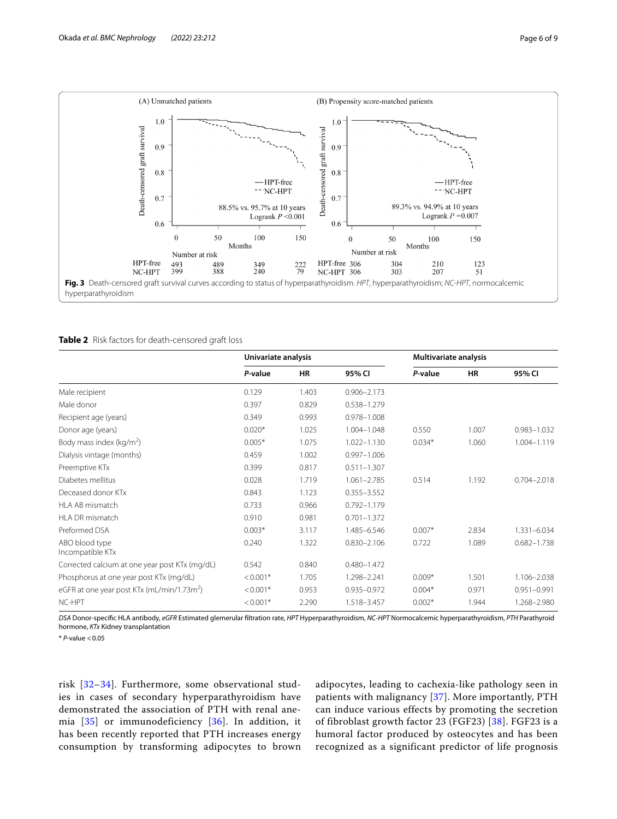

## <span id="page-5-1"></span><span id="page-5-0"></span>**Table 2** Risk factors for death-censored graft loss

|                                                        | Univariate analysis |           | Multivariate analysis |          |           |                 |
|--------------------------------------------------------|---------------------|-----------|-----------------------|----------|-----------|-----------------|
|                                                        | P-value             | <b>HR</b> | 95% CI                | P-value  | <b>HR</b> | 95% CI          |
| Male recipient                                         | 0.129               | 1.403     | $0.906 - 2.173$       |          |           |                 |
| Male donor                                             | 0.397               | 0.829     | 0.538-1.279           |          |           |                 |
| Recipient age (years)                                  | 0.349               | 0.993     | 0.978-1.008           |          |           |                 |
| Donor age (years)                                      | $0.020*$            | 1.025     | 1.004-1.048           | 0.550    | 1.007     | $0.983 - 1.032$ |
| Body mass index ( $kg/m2$ )                            | $0.005*$            | 1.075     | 1.022-1.130           | $0.034*$ | 1.060     | $1.004 - 1.119$ |
| Dialysis vintage (months)                              | 0.459               | 1.002     | $0.997 - 1.006$       |          |           |                 |
| Preemptive KTx                                         | 0.399               | 0.817     | $0.511 - 1.307$       |          |           |                 |
| Diabetes mellitus                                      | 0.028               | 1.719     | $1.061 - 2.785$       | 0.514    | 1.192     | $0.704 - 2.018$ |
| Deceased donor KTx                                     | 0.843               | 1.123     | $0.355 - 3.552$       |          |           |                 |
| HLA AB mismatch                                        | 0.733               | 0.966     | $0.792 - 1.179$       |          |           |                 |
| HLA DR mismatch                                        | 0.910               | 0.981     | $0.701 - 1.372$       |          |           |                 |
| Preformed DSA                                          | $0.003*$            | 3.117     | 1.485-6.546           | $0.007*$ | 2.834     | 1.331-6.034     |
| ABO blood type<br>Incompatible KTx                     | 0.240               | 1.322     | $0.830 - 2.106$       | 0.722    | 1.089     | $0.682 - 1.738$ |
| Corrected calcium at one year post KTx (mg/dL)         | 0.542               | 0.840     | $0.480 - 1.472$       |          |           |                 |
| Phosphorus at one year post KTx (mg/dL)                | $< 0.001*$          | 1.705     | 1.298-2.241           | $0.009*$ | 1.501     | 1.106-2.038     |
| eGFR at one year post KTx (mL/min/1.73m <sup>2</sup> ) | $< 0.001*$          | 0.953     | 0.935-0.972           | $0.004*$ | 0.971     | $0.951 - 0.991$ |
| NC-HPT                                                 | $< 0.001*$          | 2.290     | 1.518-3.457           | $0.002*$ | 1.944     | 1.268-2.980     |

*DSA* Donor-specifc HLA antibody, *eGFR* Estimated glemerular fltration rate, *HPT* Hyperparathyroidism, *NC-HPT* Normocalcemic hyperparathyroidism, *PTH* Parathyroid hormone, *KTx* Kidney transplantation

\* *P*-value <0.05

risk [[32–](#page-8-8)[34](#page-8-9)]. Furthermore, some observational studies in cases of secondary hyperparathyroidism have demonstrated the association of PTH with renal anemia [[35\]](#page-8-10) or immunodeficiency [\[36\]](#page-8-11). In addition, it has been recently reported that PTH increases energy consumption by transforming adipocytes to brown adipocytes, leading to cachexia-like pathology seen in patients with malignancy [\[37\]](#page-8-12). More importantly, PTH can induce various effects by promoting the secretion of fibroblast growth factor 23 (FGF23) [[38\]](#page-8-13). FGF23 is a humoral factor produced by osteocytes and has been recognized as a significant predictor of life prognosis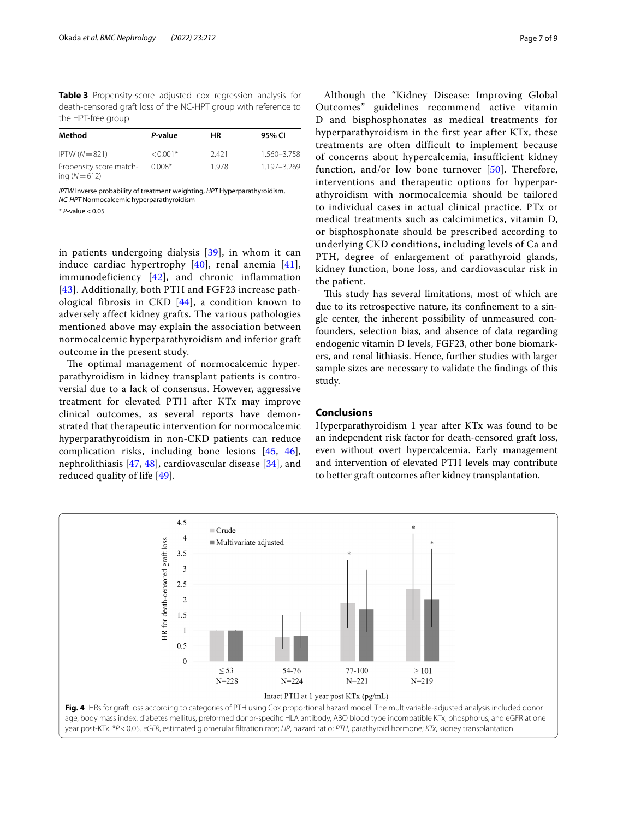<span id="page-6-0"></span>**Table 3** Propensity-score adjusted cox regression analysis for death-censored graft loss of the NC-HPT group with reference to the HPT-free group

| Method                                   | P-value    | ΗR    | 95% CI      |
|------------------------------------------|------------|-------|-------------|
| $IPTW(N=821)$                            | $< 0.001*$ | 2.421 | 1.560-3.758 |
| Propensity score match-<br>ing $(N=612)$ | $0.008*$   | 1.978 | 1.197-3.269 |

*IPTW* Inverse probability of treatment weighting, *HPT* Hyperparathyroidism, *NC-HPT* Normocalcemic hyperparathyroidism

\* *P*-value <0.05

in patients undergoing dialysis [[39\]](#page-8-14), in whom it can induce cardiac hypertrophy [[40\]](#page-8-15), renal anemia [[41\]](#page-8-16), immunodeficiency [[42](#page-8-17)], and chronic inflammation [[43](#page-8-18)]. Additionally, both PTH and FGF23 increase pathological fibrosis in CKD [[44](#page-8-19)], a condition known to adversely affect kidney grafts. The various pathologies mentioned above may explain the association between normocalcemic hyperparathyroidism and inferior graft outcome in the present study.

The optimal management of normocalcemic hyperparathyroidism in kidney transplant patients is controversial due to a lack of consensus. However, aggressive treatment for elevated PTH after KTx may improve clinical outcomes, as several reports have demonstrated that therapeutic intervention for normocalcemic hyperparathyroidism in non-CKD patients can reduce complication risks, including bone lesions [\[45](#page-8-20), [46](#page-8-21)], nephrolithiasis [[47,](#page-8-22) [48\]](#page-8-23), cardiovascular disease [[34\]](#page-8-9), and reduced quality of life [\[49](#page-8-24)].

Although the "Kidney Disease: Improving Global Outcomes" guidelines recommend active vitamin D and bisphosphonates as medical treatments for hyperparathyroidism in the first year after KTx, these treatments are often difficult to implement because of concerns about hypercalcemia, insufficient kidney function, and/or low bone turnover [[50](#page-8-25)]. Therefore, interventions and therapeutic options for hyperparathyroidism with normocalcemia should be tailored to individual cases in actual clinical practice. PTx or medical treatments such as calcimimetics, vitamin D, or bisphosphonate should be prescribed according to underlying CKD conditions, including levels of Ca and PTH, degree of enlargement of parathyroid glands, kidney function, bone loss, and cardiovascular risk in the patient.

This study has several limitations, most of which are due to its retrospective nature, its confnement to a single center, the inherent possibility of unmeasured confounders, selection bias, and absence of data regarding endogenic vitamin D levels, FGF23, other bone biomarkers, and renal lithiasis. Hence, further studies with larger sample sizes are necessary to validate the fndings of this study.

# **Conclusions**

Hyperparathyroidism 1 year after KTx was found to be an independent risk factor for death-censored graft loss, even without overt hypercalcemia. Early management and intervention of elevated PTH levels may contribute to better graft outcomes after kidney transplantation.

<span id="page-6-1"></span>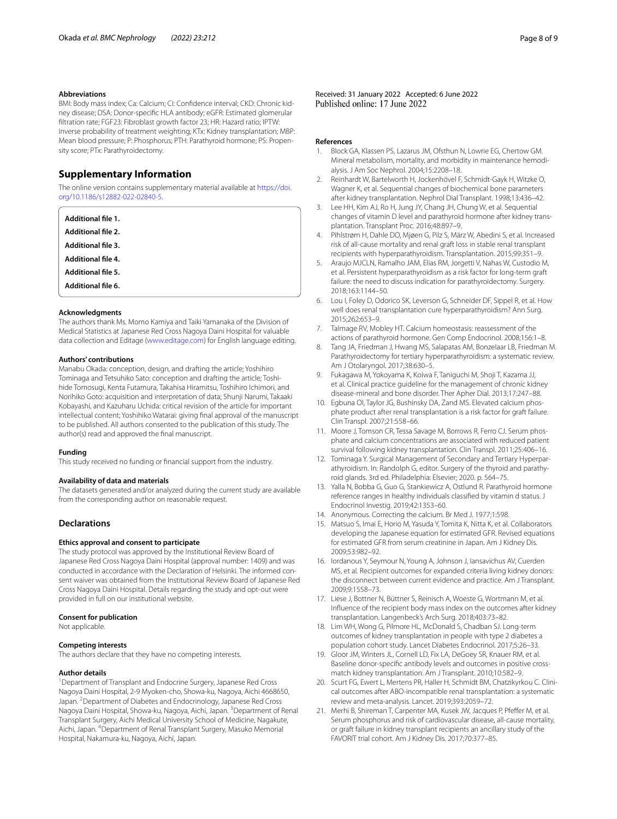#### **Abbreviations**

BMI: Body mass index; Ca: Calcium; CI: Confdence interval; CKD: Chronic kidney disease; DSA: Donor-specifc HLA antibody; eGFR: Estimated glomerular fltration rate; FGF23: Fibroblast growth factor 23; HR: Hazard ratio; IPTW: Inverse probability of treatment weighting; KTx: Kidney transplantation; MBP: Mean blood pressure; P: Phosphorus; PTH: Parathyroid hormone; PS: Propensity score; PTx: Parathyroidectomy.

# **Supplementary Information**

The online version contains supplementary material available at [https://doi.](https://doi.org/10.1186/s12882-022-02840-5) [org/10.1186/s12882-022-02840-5](https://doi.org/10.1186/s12882-022-02840-5).

<span id="page-7-22"></span><span id="page-7-21"></span><span id="page-7-20"></span><span id="page-7-19"></span><span id="page-7-12"></span>

| Additional file 1.        |  |
|---------------------------|--|
| <b>Additional file 2.</b> |  |
| <b>Additional file 3.</b> |  |
| <b>Additional file 4.</b> |  |
| <b>Additional file 5.</b> |  |
| Additional file 6.        |  |

#### **Acknowledgments**

The authors thank Ms. Momo Kamiya and Taiki Yamanaka of the Division of Medical Statistics at Japanese Red Cross Nagoya Daini Hospital for valuable data collection and Editage ([www.editage.com\)](http://www.editage.com) for English language editing.

#### **Authors' contributions**

Manabu Okada: conception, design, and drafting the article; Yoshihiro Tominaga and Tetsuhiko Sato: conception and drafting the article; Toshihide Tomosugi, Kenta Futamura, Takahisa Hiramitsu, Toshihiro Ichimori, and Norihiko Goto: acquisition and interpretation of data; Shunji Narumi, Takaaki Kobayashi, and Kazuharu Uchida: critical revision of the article for important intellectual content; Yoshihiko Watarai: giving fnal approval of the manuscript to be published. All authors consented to the publication of this study. The author(s) read and approved the fnal manuscript.

#### **Funding**

This study received no funding or fnancial support from the industry.

#### **Availability of data and materials**

The datasets generated and/or analyzed during the current study are available from the corresponding author on reasonable request.

# **Declarations**

#### **Ethics approval and consent to participate**

The study protocol was approved by the Institutional Review Board of Japanese Red Cross Nagoya Daini Hospital (approval number: 1409) and was conducted in accordance with the Declaration of Helsinki. The informed consent waiver was obtained from the Institutional Review Board of Japanese Red Cross Nagoya Daini Hospital. Details regarding the study and opt-out were provided in full on our institutional website.

#### **Consent for publication**

Not applicable.

# **Competing interests**

The authors declare that they have no competing interests.

#### **Author details**

<sup>1</sup> Department of Transplant and Endocrine Surgery, Japanese Red Cross Nagoya Daini Hospital, 2-9 Myoken-cho, Showa-ku, Nagoya, Aichi 4668650, Japan. <sup>2</sup> Department of Diabetes and Endocrinology, Japanese Red Cross Nagoya Daini Hospital, Showa-ku, Nagoya, Aichi, Japan. <sup>3</sup> Department of Renal Transplant Surgery, Aichi Medical University School of Medicine, Nagakute, Aichi, Japan. <sup>4</sup> Department of Renal Transplant Surgery, Masuko Memorial Hospital, Nakamura-ku, Nagoya, Aichi, Japan.

Received: 31 January 2022 Accepted: 6 June 2022

#### **References**

- <span id="page-7-0"></span>1. Block GA, Klassen PS, Lazarus JM, Ofsthun N, Lowrie EG, Chertow GM. Mineral metabolism, mortality, and morbidity in maintenance hemodialysis. J Am Soc Nephrol. 2004;15:2208–18.
- <span id="page-7-1"></span>2. Reinhardt W, Bartelworth H, Jockenhövel F, Schmidt-Gayk H, Witzke O, Wagner K, et al. Sequential changes of biochemical bone parameters after kidney transplantation. Nephrol Dial Transplant. 1998;13:436–42.
- <span id="page-7-2"></span>Lee HH, Kim AJ, Ro H, Jung JY, Chang JH, Chung W, et al. Sequential changes of vitamin D level and parathyroid hormone after kidney transplantation. Transplant Proc. 2016;48:897–9.
- <span id="page-7-23"></span>4. Pihlstrøm H, Dahle DO, Mjøen G, Pilz S, März W, Abedini S, et al. Increased risk of all-cause mortality and renal graft loss in stable renal transplant recipients with hyperparathyroidism. Transplantation. 2015;99:351–9.
- 5. Araujo MJCLN, Ramalho JAM, Elias RM, Jorgetti V, Nahas W, Custodio M, et al. Persistent hyperparathyroidism as a risk factor for long-term graft failure: the need to discuss indication for parathyroidectomy. Surgery. 2018;163:1144–50.
- <span id="page-7-3"></span>6. Lou I, Foley D, Odorico SK, Leverson G, Schneider DF, Sippel R, et al. How well does renal transplantation cure hyperparathyroidism? Ann Surg. 2015;262:653–9.
- <span id="page-7-4"></span>7. Talmage RV, Mobley HT. Calcium homeostasis: reassessment of the actions of parathyroid hormone. Gen Comp Endocrinol. 2008;156:1–8.
- <span id="page-7-5"></span>Tang JA, Friedman J, Hwang MS, Salapatas AM, Bonzelaar LB, Friedman M. Parathyroidectomy for tertiary hyperparathyroidism: a systematic review. Am J Otolaryngol. 2017;38:630–5.
- 9. Fukagawa M, Yokoyama K, Koiwa F, Taniguchi M, Shoji T, Kazama JJ, et al. Clinical practice guideline for the management of chronic kidney disease-mineral and bone disorder. Ther Apher Dial. 2013;17:247–88.
- <span id="page-7-7"></span>10. Egbuna OI, Taylor JG, Bushinsky DA, Zand MS. Elevated calcium phosphate product after renal transplantation is a risk factor for graft failure. Clin Transpl. 2007;21:558–66.
- <span id="page-7-6"></span>11. Moore J, Tomson CR, Tessa Savage M, Borrows R, Ferro CJ. Serum phosphate and calcium concentrations are associated with reduced patient survival following kidney transplantation. Clin Transpl. 2011;25:406–16.
- <span id="page-7-8"></span>12. Tominaga Y. Surgical Management of Secondary and Tertiary Hyperparathyroidism. In: Randolph G, editor. Surgery of the thyroid and parathyroid glands. 3rd ed. Philadelphia: Elsevier; 2020. p. 564–75.
- <span id="page-7-9"></span>13. Yalla N, Bobba G, Guo G, Stankiewicz A, Ostlund R. Parathyroid hormone reference ranges in healthy individuals classifed by vitamin d status. J Endocrinol Investig. 2019;42:1353–60.
- <span id="page-7-10"></span>14. Anonymous. Correcting the calcium. Br Med J. 1977;1:598.
- <span id="page-7-11"></span>15. Matsuo S, Imai E, Horio M, Yasuda Y, Tomita K, Nitta K, et al. Collaborators developing the Japanese equation for estimated GFR. Revised equations for estimated GFR from serum creatinine in Japan. Am J Kidney Dis. 2009;53:982–92.
- <span id="page-7-13"></span>16. Iordanous Y, Seymour N, Young A, Johnson J, Iansavichus AV, Cuerden MS, et al. Recipient outcomes for expanded criteria living kidney donors: the disconnect between current evidence and practice. Am J Transplant. 2009;9:1558–73.
- <span id="page-7-14"></span>17. Liese J, Bottner N, Büttner S, Reinisch A, Woeste G, Wortmann M, et al. Infuence of the recipient body mass index on the outcomes after kidney transplantation. Langenbeck's Arch Surg. 2018;403:73–82.
- <span id="page-7-15"></span>18. Lim WH, Wong G, Pilmore HL, McDonald S, Chadban SJ. Long-term outcomes of kidney transplantation in people with type 2 diabetes a population cohort study. Lancet Diabetes Endocrinol. 2017;5:26–33.
- <span id="page-7-16"></span>19. Gloor JM, Winters JL, Cornell LD, Fix LA, DeGoey SR, Knauer RM, et al. Baseline donor-specifc antibody levels and outcomes in positive crossmatch kidney transplantation. Am J Transplant. 2010;10:582–9.
- <span id="page-7-17"></span>20. Scurt FG, Ewert L, Mertens PR, Haller H, Schmidt BM, Chatzikyrkou C. Clinical outcomes after ABO-incompatible renal transplantation: a systematic review and meta-analysis. Lancet. 2019;393:2059–72.
- <span id="page-7-18"></span>21. Merhi B, Shireman T, Carpenter MA, Kusek JW, Jacques P, Pfeffer M, et al. Serum phosphorus and risk of cardiovascular disease, all-cause mortality, or graft failure in kidney transplant recipients an ancillary study of the FAVORIT trial cohort. Am J Kidney Dis. 2017;70:377–85.